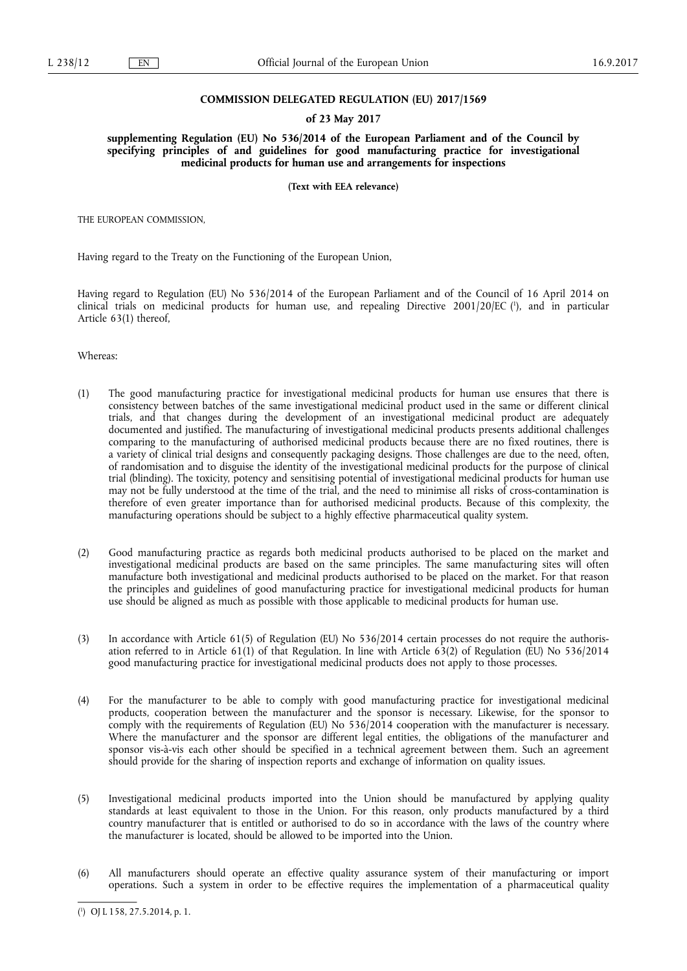### **COMMISSION DELEGATED REGULATION (EU) 2017/1569**

### **of 23 May 2017**

**supplementing Regulation (EU) No 536/2014 of the European Parliament and of the Council by specifying principles of and guidelines for good manufacturing practice for investigational medicinal products for human use and arrangements for inspections** 

**(Text with EEA relevance)** 

THE EUROPEAN COMMISSION,

Having regard to the Treaty on the Functioning of the European Union,

Having regard to Regulation (EU) No 536/2014 of the European Parliament and of the Council of 16 April 2014 on clinical trials on medicinal products for human use, and repealing Directive 2001/20/EC ( 1 ), and in particular Article 63(1) thereof,

Whereas:

- (1) The good manufacturing practice for investigational medicinal products for human use ensures that there is consistency between batches of the same investigational medicinal product used in the same or different clinical trials, and that changes during the development of an investigational medicinal product are adequately documented and justified. The manufacturing of investigational medicinal products presents additional challenges comparing to the manufacturing of authorised medicinal products because there are no fixed routines, there is a variety of clinical trial designs and consequently packaging designs. Those challenges are due to the need, often, of randomisation and to disguise the identity of the investigational medicinal products for the purpose of clinical trial (blinding). The toxicity, potency and sensitising potential of investigational medicinal products for human use may not be fully understood at the time of the trial, and the need to minimise all risks of cross-contamination is therefore of even greater importance than for authorised medicinal products. Because of this complexity, the manufacturing operations should be subject to a highly effective pharmaceutical quality system.
- (2) Good manufacturing practice as regards both medicinal products authorised to be placed on the market and investigational medicinal products are based on the same principles. The same manufacturing sites will often manufacture both investigational and medicinal products authorised to be placed on the market. For that reason the principles and guidelines of good manufacturing practice for investigational medicinal products for human use should be aligned as much as possible with those applicable to medicinal products for human use.
- (3) In accordance with Article 61(5) of Regulation (EU) No 536/2014 certain processes do not require the authorisation referred to in Article 61(1) of that Regulation. In line with Article 63(2) of Regulation (EU) No 536/2014 good manufacturing practice for investigational medicinal products does not apply to those processes.
- (4) For the manufacturer to be able to comply with good manufacturing practice for investigational medicinal products, cooperation between the manufacturer and the sponsor is necessary. Likewise, for the sponsor to comply with the requirements of Regulation (EU) No 536/2014 cooperation with the manufacturer is necessary. Where the manufacturer and the sponsor are different legal entities, the obligations of the manufacturer and sponsor vis-à-vis each other should be specified in a technical agreement between them. Such an agreement should provide for the sharing of inspection reports and exchange of information on quality issues.
- (5) Investigational medicinal products imported into the Union should be manufactured by applying quality standards at least equivalent to those in the Union. For this reason, only products manufactured by a third country manufacturer that is entitled or authorised to do so in accordance with the laws of the country where the manufacturer is located, should be allowed to be imported into the Union.
- (6) All manufacturers should operate an effective quality assurance system of their manufacturing or import operations. Such a system in order to be effective requires the implementation of a pharmaceutical quality

<sup>(</sup> 1 ) OJ L 158, 27.5.2014, p. 1.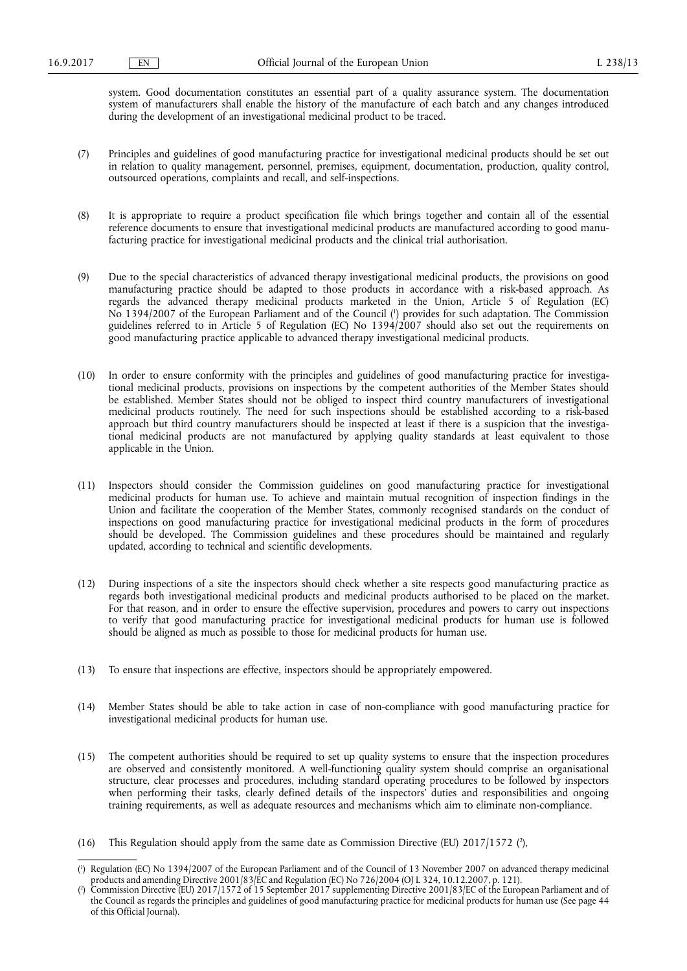system. Good documentation constitutes an essential part of a quality assurance system. The documentation system of manufacturers shall enable the history of the manufacture of each batch and any changes introduced during the development of an investigational medicinal product to be traced.

- (7) Principles and guidelines of good manufacturing practice for investigational medicinal products should be set out in relation to quality management, personnel, premises, equipment, documentation, production, quality control, outsourced operations, complaints and recall, and self-inspections.
- (8) It is appropriate to require a product specification file which brings together and contain all of the essential reference documents to ensure that investigational medicinal products are manufactured according to good manufacturing practice for investigational medicinal products and the clinical trial authorisation.
- (9) Due to the special characteristics of advanced therapy investigational medicinal products, the provisions on good manufacturing practice should be adapted to those products in accordance with a risk-based approach. As regards the advanced therapy medicinal products marketed in the Union, Article 5 of Regulation (EC) No 1394/2007 of the European Parliament and of the Council ( 1 ) provides for such adaptation. The Commission guidelines referred to in Article 5 of Regulation (EC) No 1394/2007 should also set out the requirements on good manufacturing practice applicable to advanced therapy investigational medicinal products.
- (10) In order to ensure conformity with the principles and guidelines of good manufacturing practice for investigational medicinal products, provisions on inspections by the competent authorities of the Member States should be established. Member States should not be obliged to inspect third country manufacturers of investigational medicinal products routinely. The need for such inspections should be established according to a risk-based approach but third country manufacturers should be inspected at least if there is a suspicion that the investigational medicinal products are not manufactured by applying quality standards at least equivalent to those applicable in the Union.
- (11) Inspectors should consider the Commission guidelines on good manufacturing practice for investigational medicinal products for human use. To achieve and maintain mutual recognition of inspection findings in the Union and facilitate the cooperation of the Member States, commonly recognised standards on the conduct of inspections on good manufacturing practice for investigational medicinal products in the form of procedures should be developed. The Commission guidelines and these procedures should be maintained and regularly updated, according to technical and scientific developments.
- (12) During inspections of a site the inspectors should check whether a site respects good manufacturing practice as regards both investigational medicinal products and medicinal products authorised to be placed on the market. For that reason, and in order to ensure the effective supervision, procedures and powers to carry out inspections to verify that good manufacturing practice for investigational medicinal products for human use is followed should be aligned as much as possible to those for medicinal products for human use.
- (13) To ensure that inspections are effective, inspectors should be appropriately empowered.
- (14) Member States should be able to take action in case of non-compliance with good manufacturing practice for investigational medicinal products for human use.
- (15) The competent authorities should be required to set up quality systems to ensure that the inspection procedures are observed and consistently monitored. A well-functioning quality system should comprise an organisational structure, clear processes and procedures, including standard operating procedures to be followed by inspectors when performing their tasks, clearly defined details of the inspectors' duties and responsibilities and ongoing training requirements, as well as adequate resources and mechanisms which aim to eliminate non-compliance.
- (16) This Regulation should apply from the same date as Commission Directive (EU)  $2017/1572$  (?),

<sup>(</sup> 1 ) Regulation (EC) No 1394/2007 of the European Parliament and of the Council of 13 November 2007 on advanced therapy medicinal products and amending Directive 2001/83/EC and Regulation (EC) No 726/2004 (OJ L 324, 10.12.2007, p. 121).

<sup>(</sup> 2 ) Commission Directive (EU) 2017/1572 of 15 September 2017 supplementing Directive 2001/83/EC of the European Parliament and of the Council as regards the principles and guidelines of good manufacturing practice for medicinal products for human use (See page 44 of this Official Journal).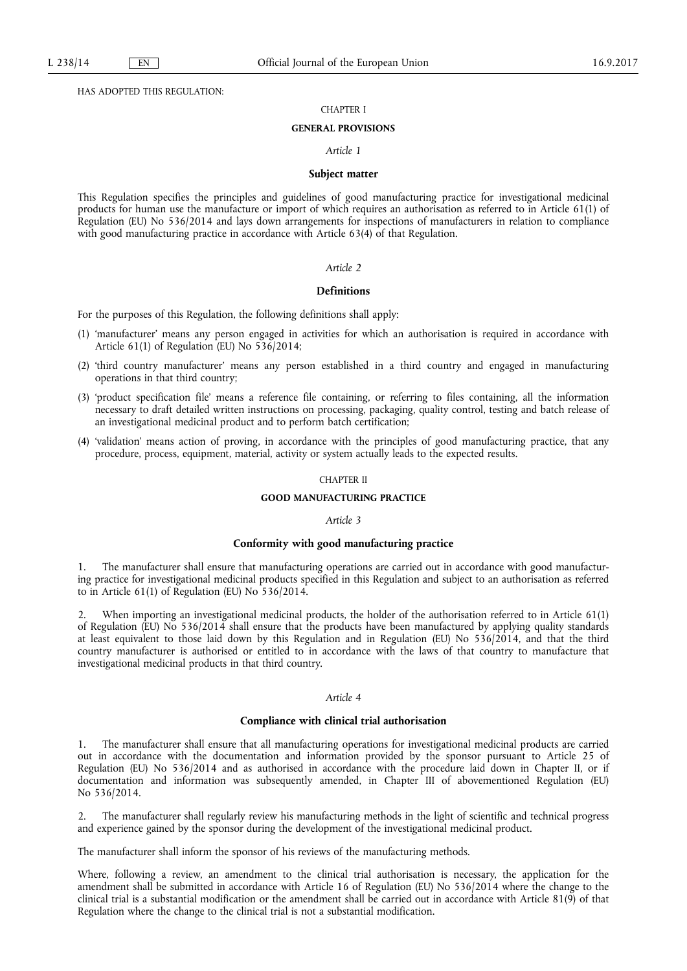HAS ADOPTED THIS REGULATION:

## CHAPTER I

### **GENERAL PROVISIONS**

### *Article 1*

#### **Subject matter**

This Regulation specifies the principles and guidelines of good manufacturing practice for investigational medicinal products for human use the manufacture or import of which requires an authorisation as referred to in Article 61(1) of Regulation (EU) No 536/2014 and lays down arrangements for inspections of manufacturers in relation to compliance with good manufacturing practice in accordance with Article 63(4) of that Regulation.

#### *Article 2*

#### **Definitions**

For the purposes of this Regulation, the following definitions shall apply:

- (1) 'manufacturer' means any person engaged in activities for which an authorisation is required in accordance with Article 61(1) of Regulation (EU) No 536/2014;
- (2) 'third country manufacturer' means any person established in a third country and engaged in manufacturing operations in that third country;
- (3) 'product specification file' means a reference file containing, or referring to files containing, all the information necessary to draft detailed written instructions on processing, packaging, quality control, testing and batch release of an investigational medicinal product and to perform batch certification;
- (4) 'validation' means action of proving, in accordance with the principles of good manufacturing practice, that any procedure, process, equipment, material, activity or system actually leads to the expected results.

### CHAPTER II

## **GOOD MANUFACTURING PRACTICE**

#### *Article 3*

#### **Conformity with good manufacturing practice**

1. The manufacturer shall ensure that manufacturing operations are carried out in accordance with good manufacturing practice for investigational medicinal products specified in this Regulation and subject to an authorisation as referred to in Article 61(1) of Regulation (EU) No 536/2014.

2. When importing an investigational medicinal products, the holder of the authorisation referred to in Article 61(1) of Regulation (EU) No 536/2014 shall ensure that the products have been manufactured by applying quality standards at least equivalent to those laid down by this Regulation and in Regulation (EU) No 536/2014, and that the third country manufacturer is authorised or entitled to in accordance with the laws of that country to manufacture that investigational medicinal products in that third country.

### *Article 4*

#### **Compliance with clinical trial authorisation**

1. The manufacturer shall ensure that all manufacturing operations for investigational medicinal products are carried out in accordance with the documentation and information provided by the sponsor pursuant to Article 25 of Regulation (EU) No 536/2014 and as authorised in accordance with the procedure laid down in Chapter II, or if documentation and information was subsequently amended, in Chapter III of abovementioned Regulation (EU) No 536/2014.

2. The manufacturer shall regularly review his manufacturing methods in the light of scientific and technical progress and experience gained by the sponsor during the development of the investigational medicinal product.

The manufacturer shall inform the sponsor of his reviews of the manufacturing methods.

Where, following a review, an amendment to the clinical trial authorisation is necessary, the application for the amendment shall be submitted in accordance with Article 16 of Regulation (EU) No 536/2014 where the change to the clinical trial is a substantial modification or the amendment shall be carried out in accordance with Article 81(9) of that Regulation where the change to the clinical trial is not a substantial modification.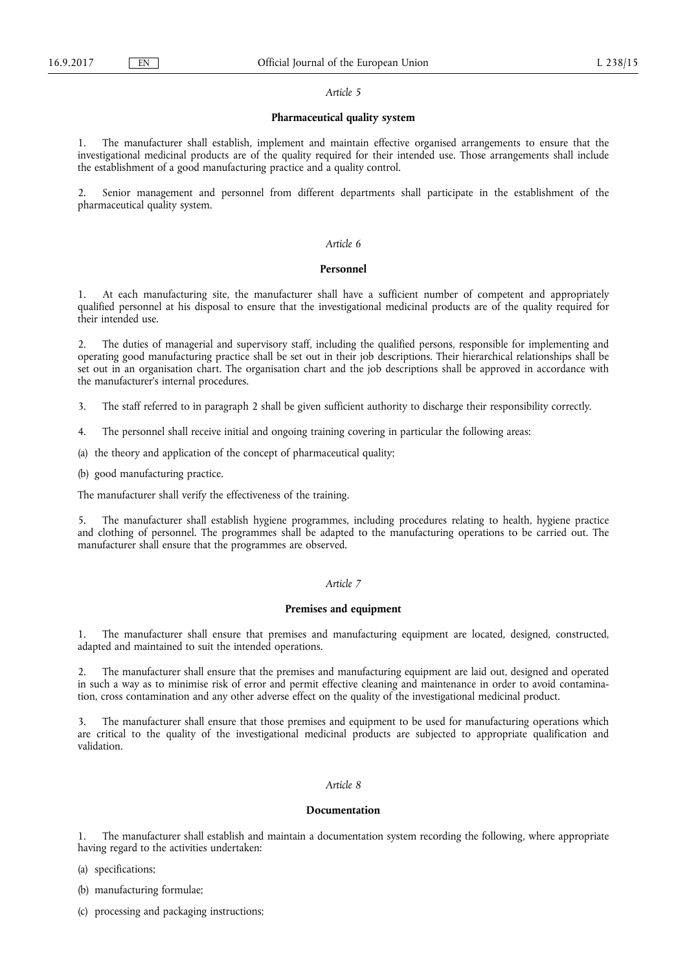## *Article 5*

# **Pharmaceutical quality system**

1. The manufacturer shall establish, implement and maintain effective organised arrangements to ensure that the investigational medicinal products are of the quality required for their intended use. Those arrangements shall include the establishment of a good manufacturing practice and a quality control.

2. Senior management and personnel from different departments shall participate in the establishment of the pharmaceutical quality system.

### *Article 6*

#### **Personnel**

1. At each manufacturing site, the manufacturer shall have a sufficient number of competent and appropriately qualified personnel at his disposal to ensure that the investigational medicinal products are of the quality required for their intended use.

2. The duties of managerial and supervisory staff, including the qualified persons, responsible for implementing and operating good manufacturing practice shall be set out in their job descriptions. Their hierarchical relationships shall be set out in an organisation chart. The organisation chart and the job descriptions shall be approved in accordance with the manufacturer's internal procedures.

3. The staff referred to in paragraph 2 shall be given sufficient authority to discharge their responsibility correctly.

4. The personnel shall receive initial and ongoing training covering in particular the following areas:

(a) the theory and application of the concept of pharmaceutical quality;

(b) good manufacturing practice.

The manufacturer shall verify the effectiveness of the training.

5. The manufacturer shall establish hygiene programmes, including procedures relating to health, hygiene practice and clothing of personnel. The programmes shall be adapted to the manufacturing operations to be carried out. The manufacturer shall ensure that the programmes are observed.

#### *Article 7*

### **Premises and equipment**

1. The manufacturer shall ensure that premises and manufacturing equipment are located, designed, constructed, adapted and maintained to suit the intended operations.

2. The manufacturer shall ensure that the premises and manufacturing equipment are laid out, designed and operated in such a way as to minimise risk of error and permit effective cleaning and maintenance in order to avoid contamination, cross contamination and any other adverse effect on the quality of the investigational medicinal product.

3. The manufacturer shall ensure that those premises and equipment to be used for manufacturing operations which are critical to the quality of the investigational medicinal products are subjected to appropriate qualification and validation.

### *Article 8*

#### **Documentation**

1. The manufacturer shall establish and maintain a documentation system recording the following, where appropriate having regard to the activities undertaken:

(a) specifications;

(b) manufacturing formulae;

(c) processing and packaging instructions;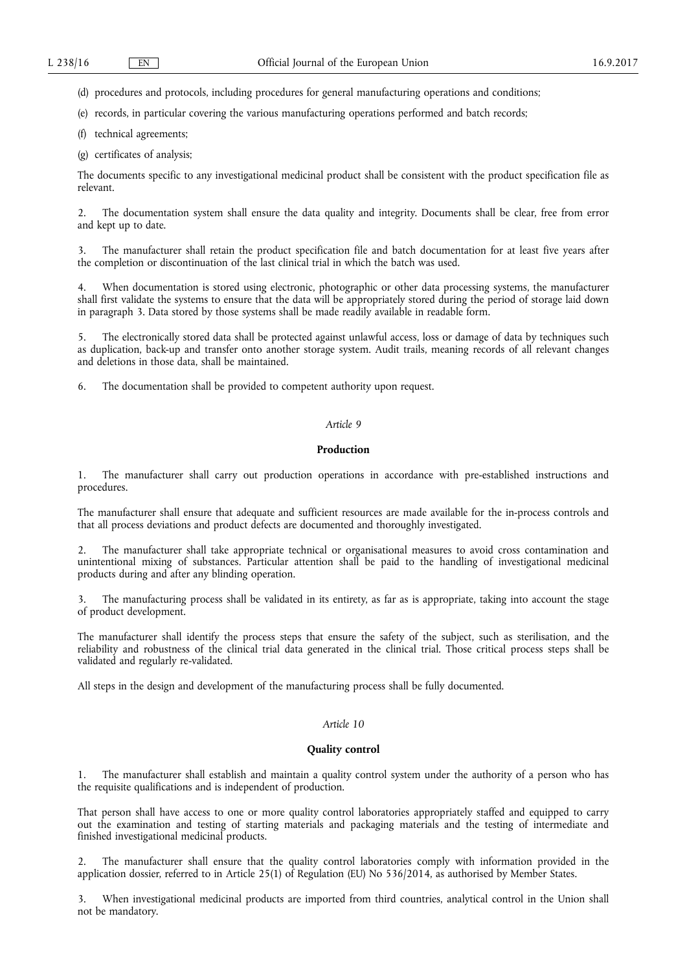(d) procedures and protocols, including procedures for general manufacturing operations and conditions;

(e) records, in particular covering the various manufacturing operations performed and batch records;

(f) technical agreements;

(g) certificates of analysis;

The documents specific to any investigational medicinal product shall be consistent with the product specification file as relevant.

2. The documentation system shall ensure the data quality and integrity. Documents shall be clear, free from error and kept up to date.

The manufacturer shall retain the product specification file and batch documentation for at least five years after the completion or discontinuation of the last clinical trial in which the batch was used.

When documentation is stored using electronic, photographic or other data processing systems, the manufacturer shall first validate the systems to ensure that the data will be appropriately stored during the period of storage laid down in paragraph 3. Data stored by those systems shall be made readily available in readable form.

5. The electronically stored data shall be protected against unlawful access, loss or damage of data by techniques such as duplication, back-up and transfer onto another storage system. Audit trails, meaning records of all relevant changes and deletions in those data, shall be maintained.

6. The documentation shall be provided to competent authority upon request.

# *Article 9*

# **Production**

1. The manufacturer shall carry out production operations in accordance with pre-established instructions and procedures.

The manufacturer shall ensure that adequate and sufficient resources are made available for the in-process controls and that all process deviations and product defects are documented and thoroughly investigated.

2. The manufacturer shall take appropriate technical or organisational measures to avoid cross contamination and unintentional mixing of substances. Particular attention shall be paid to the handling of investigational medicinal products during and after any blinding operation.

The manufacturing process shall be validated in its entirety, as far as is appropriate, taking into account the stage of product development.

The manufacturer shall identify the process steps that ensure the safety of the subject, such as sterilisation, and the reliability and robustness of the clinical trial data generated in the clinical trial. Those critical process steps shall be validated and regularly re-validated.

All steps in the design and development of the manufacturing process shall be fully documented.

## *Article 10*

### **Quality control**

The manufacturer shall establish and maintain a quality control system under the authority of a person who has the requisite qualifications and is independent of production.

That person shall have access to one or more quality control laboratories appropriately staffed and equipped to carry out the examination and testing of starting materials and packaging materials and the testing of intermediate and finished investigational medicinal products.

2. The manufacturer shall ensure that the quality control laboratories comply with information provided in the application dossier, referred to in Article 25(1) of Regulation (EU) No 536/2014, as authorised by Member States.

3. When investigational medicinal products are imported from third countries, analytical control in the Union shall not be mandatory.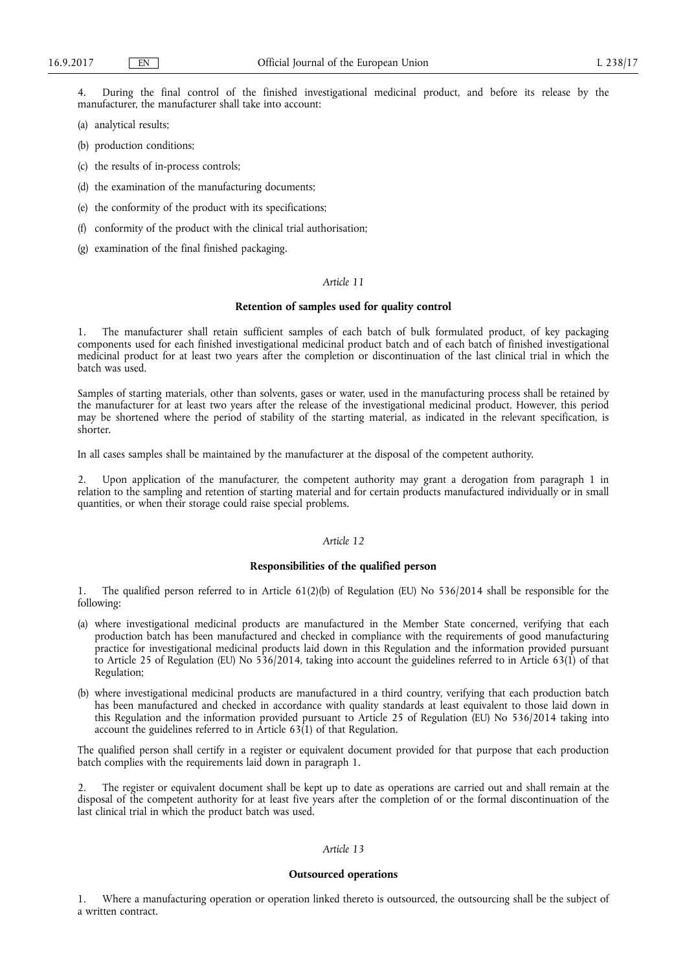4. During the final control of the finished investigational medicinal product, and before its release by the manufacturer, the manufacturer shall take into account:

(a) analytical results;

- (b) production conditions;
- (c) the results of in-process controls;
- (d) the examination of the manufacturing documents;
- (e) the conformity of the product with its specifications;
- (f) conformity of the product with the clinical trial authorisation;
- (g) examination of the final finished packaging.

## *Article 11*

#### **Retention of samples used for quality control**

1. The manufacturer shall retain sufficient samples of each batch of bulk formulated product, of key packaging components used for each finished investigational medicinal product batch and of each batch of finished investigational medicinal product for at least two years after the completion or discontinuation of the last clinical trial in which the batch was used.

Samples of starting materials, other than solvents, gases or water, used in the manufacturing process shall be retained by the manufacturer for at least two years after the release of the investigational medicinal product. However, this period may be shortened where the period of stability of the starting material, as indicated in the relevant specification, is shorter.

In all cases samples shall be maintained by the manufacturer at the disposal of the competent authority.

2. Upon application of the manufacturer, the competent authority may grant a derogation from paragraph 1 in relation to the sampling and retention of starting material and for certain products manufactured individually or in small quantities, or when their storage could raise special problems.

## *Article 12*

## **Responsibilities of the qualified person**

1. The qualified person referred to in Article 61(2)(b) of Regulation (EU) No 536/2014 shall be responsible for the following:

- (a) where investigational medicinal products are manufactured in the Member State concerned, verifying that each production batch has been manufactured and checked in compliance with the requirements of good manufacturing practice for investigational medicinal products laid down in this Regulation and the information provided pursuant to Article 25 of Regulation (EU) No 536/2014, taking into account the guidelines referred to in Article 63(1) of that Regulation;
- (b) where investigational medicinal products are manufactured in a third country, verifying that each production batch has been manufactured and checked in accordance with quality standards at least equivalent to those laid down in this Regulation and the information provided pursuant to Article 25 of Regulation (EU) No 536/2014 taking into account the guidelines referred to in Article  $63(1)$  of that Regulation.

The qualified person shall certify in a register or equivalent document provided for that purpose that each production batch complies with the requirements laid down in paragraph 1.

The register or equivalent document shall be kept up to date as operations are carried out and shall remain at the disposal of the competent authority for at least five years after the completion of or the formal discontinuation of the last clinical trial in which the product batch was used.

# *Article 13*

### **Outsourced operations**

1. Where a manufacturing operation or operation linked thereto is outsourced, the outsourcing shall be the subject of a written contract.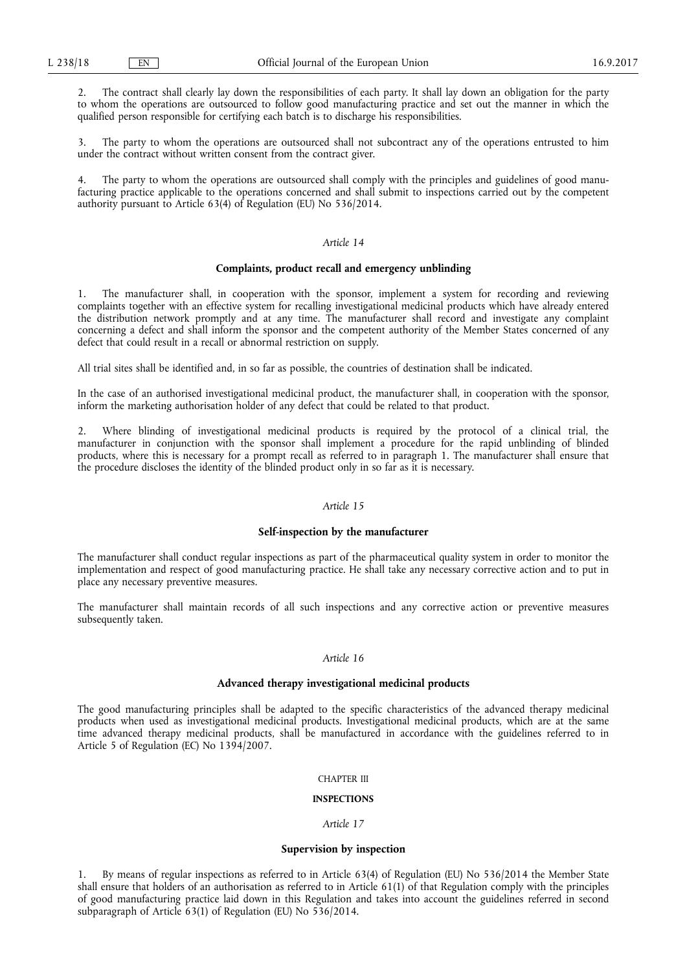2. The contract shall clearly lay down the responsibilities of each party. It shall lay down an obligation for the party to whom the operations are outsourced to follow good manufacturing practice and set out the manner in which the qualified person responsible for certifying each batch is to discharge his responsibilities.

The party to whom the operations are outsourced shall not subcontract any of the operations entrusted to him under the contract without written consent from the contract giver.

The party to whom the operations are outsourced shall comply with the principles and guidelines of good manufacturing practice applicable to the operations concerned and shall submit to inspections carried out by the competent authority pursuant to Article 63(4) of Regulation (EU) No 536/2014.

### *Article 14*

### **Complaints, product recall and emergency unblinding**

1. The manufacturer shall, in cooperation with the sponsor, implement a system for recording and reviewing complaints together with an effective system for recalling investigational medicinal products which have already entered the distribution network promptly and at any time. The manufacturer shall record and investigate any complaint concerning a defect and shall inform the sponsor and the competent authority of the Member States concerned of any defect that could result in a recall or abnormal restriction on supply.

All trial sites shall be identified and, in so far as possible, the countries of destination shall be indicated.

In the case of an authorised investigational medicinal product, the manufacturer shall, in cooperation with the sponsor, inform the marketing authorisation holder of any defect that could be related to that product.

2. Where blinding of investigational medicinal products is required by the protocol of a clinical trial, the manufacturer in conjunction with the sponsor shall implement a procedure for the rapid unblinding of blinded products, where this is necessary for a prompt recall as referred to in paragraph 1. The manufacturer shall ensure that the procedure discloses the identity of the blinded product only in so far as it is necessary.

### *Article 15*

### **Self-inspection by the manufacturer**

The manufacturer shall conduct regular inspections as part of the pharmaceutical quality system in order to monitor the implementation and respect of good manufacturing practice. He shall take any necessary corrective action and to put in place any necessary preventive measures.

The manufacturer shall maintain records of all such inspections and any corrective action or preventive measures subsequently taken.

## *Article 16*

## **Advanced therapy investigational medicinal products**

The good manufacturing principles shall be adapted to the specific characteristics of the advanced therapy medicinal products when used as investigational medicinal products. Investigational medicinal products, which are at the same time advanced therapy medicinal products, shall be manufactured in accordance with the guidelines referred to in Article 5 of Regulation (EC) No 1394/2007.

#### CHAPTER III

# **INSPECTIONS**

#### *Article 17*

#### **Supervision by inspection**

1. By means of regular inspections as referred to in Article 63(4) of Regulation (EU) No 536/2014 the Member State shall ensure that holders of an authorisation as referred to in Article 61(1) of that Regulation comply with the principles of good manufacturing practice laid down in this Regulation and takes into account the guidelines referred in second subparagraph of Article 63(1) of Regulation (EU) No 536/2014.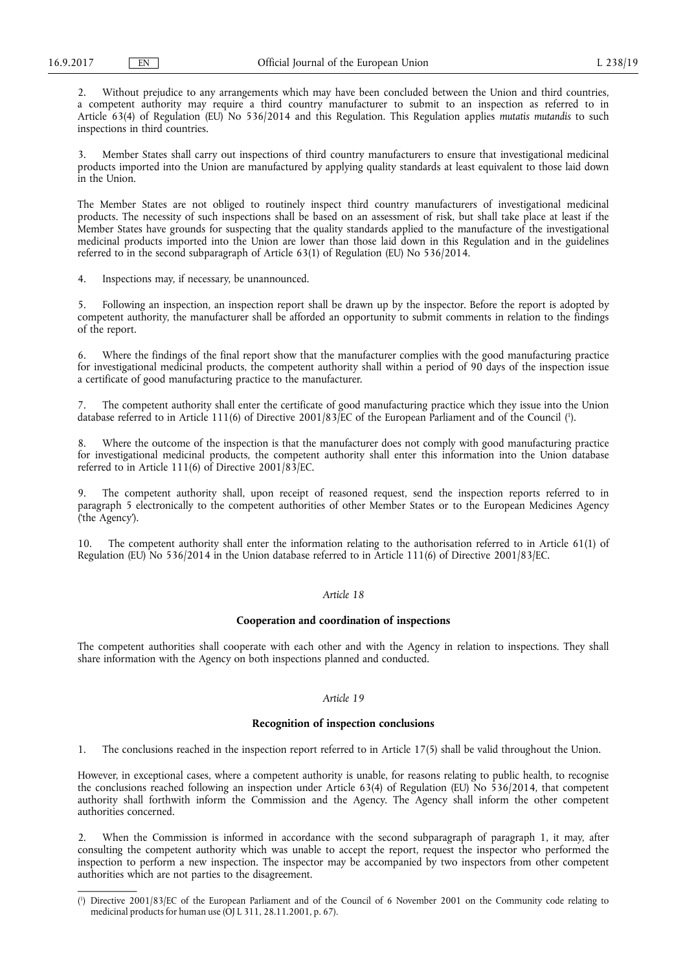2. Without prejudice to any arrangements which may have been concluded between the Union and third countries, a competent authority may require a third country manufacturer to submit to an inspection as referred to in Article 63(4) of Regulation (EU) No 536/2014 and this Regulation. This Regulation applies *mutatis mutandis* to such inspections in third countries.

3. Member States shall carry out inspections of third country manufacturers to ensure that investigational medicinal products imported into the Union are manufactured by applying quality standards at least equivalent to those laid down in the Union.

The Member States are not obliged to routinely inspect third country manufacturers of investigational medicinal products. The necessity of such inspections shall be based on an assessment of risk, but shall take place at least if the Member States have grounds for suspecting that the quality standards applied to the manufacture of the investigational medicinal products imported into the Union are lower than those laid down in this Regulation and in the guidelines referred to in the second subparagraph of Article 63(1) of Regulation (EU) No 536/2014.

4. Inspections may, if necessary, be unannounced.

5. Following an inspection, an inspection report shall be drawn up by the inspector. Before the report is adopted by competent authority, the manufacturer shall be afforded an opportunity to submit comments in relation to the findings of the report.

6. Where the findings of the final report show that the manufacturer complies with the good manufacturing practice for investigational medicinal products, the competent authority shall within a period of 90 days of the inspection issue a certificate of good manufacturing practice to the manufacturer.

7. The competent authority shall enter the certificate of good manufacturing practice which they issue into the Union database referred to in Article 111(6) of Directive 2001/83/EC of the European Parliament and of the Council ( 1 ).

8. Where the outcome of the inspection is that the manufacturer does not comply with good manufacturing practice for investigational medicinal products, the competent authority shall enter this information into the Union database referred to in Article 111(6) of Directive 2001/83/EC.

9. The competent authority shall, upon receipt of reasoned request, send the inspection reports referred to in paragraph 5 electronically to the competent authorities of other Member States or to the European Medicines Agency ('the Agency').

10. The competent authority shall enter the information relating to the authorisation referred to in Article 61(1) of Regulation (EU) No 536/2014 in the Union database referred to in Article 111(6) of Directive 2001/83/EC.

#### *Article 18*

#### **Cooperation and coordination of inspections**

The competent authorities shall cooperate with each other and with the Agency in relation to inspections. They shall share information with the Agency on both inspections planned and conducted.

### *Article 19*

## **Recognition of inspection conclusions**

1. The conclusions reached in the inspection report referred to in Article 17(5) shall be valid throughout the Union.

However, in exceptional cases, where a competent authority is unable, for reasons relating to public health, to recognise the conclusions reached following an inspection under Article 63(4) of Regulation (EU) No 536/2014, that competent authority shall forthwith inform the Commission and the Agency. The Agency shall inform the other competent authorities concerned.

2. When the Commission is informed in accordance with the second subparagraph of paragraph 1, it may, after consulting the competent authority which was unable to accept the report, request the inspector who performed the inspection to perform a new inspection. The inspector may be accompanied by two inspectors from other competent authorities which are not parties to the disagreement.

<sup>(</sup> 1 ) Directive 2001/83/EC of the European Parliament and of the Council of 6 November 2001 on the Community code relating to medicinal products for human use (OJ L 311, 28.11.2001, p. 67).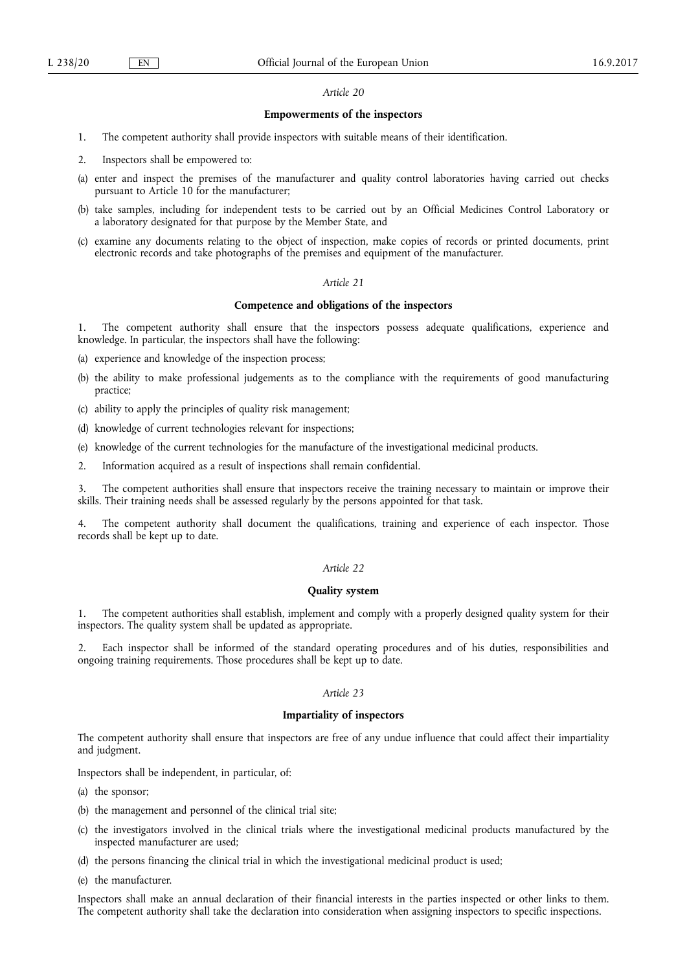#### *Article 20*

#### **Empowerments of the inspectors**

- 1. The competent authority shall provide inspectors with suitable means of their identification.
- 2. Inspectors shall be empowered to:
- (a) enter and inspect the premises of the manufacturer and quality control laboratories having carried out checks pursuant to Article 10 for the manufacturer;
- (b) take samples, including for independent tests to be carried out by an Official Medicines Control Laboratory or a laboratory designated for that purpose by the Member State, and
- (c) examine any documents relating to the object of inspection, make copies of records or printed documents, print electronic records and take photographs of the premises and equipment of the manufacturer.

# *Article 21*

### **Competence and obligations of the inspectors**

1. The competent authority shall ensure that the inspectors possess adequate qualifications, experience and knowledge. In particular, the inspectors shall have the following:

- (a) experience and knowledge of the inspection process;
- (b) the ability to make professional judgements as to the compliance with the requirements of good manufacturing practice;
- (c) ability to apply the principles of quality risk management;
- (d) knowledge of current technologies relevant for inspections;
- (e) knowledge of the current technologies for the manufacture of the investigational medicinal products.
- 2. Information acquired as a result of inspections shall remain confidential.

3. The competent authorities shall ensure that inspectors receive the training necessary to maintain or improve their skills. Their training needs shall be assessed regularly by the persons appointed for that task.

4. The competent authority shall document the qualifications, training and experience of each inspector. Those records shall be kept up to date.

### *Article 22*

## **Quality system**

1. The competent authorities shall establish, implement and comply with a properly designed quality system for their inspectors. The quality system shall be updated as appropriate.

2. Each inspector shall be informed of the standard operating procedures and of his duties, responsibilities and ongoing training requirements. Those procedures shall be kept up to date.

## *Article 23*

# **Impartiality of inspectors**

The competent authority shall ensure that inspectors are free of any undue influence that could affect their impartiality and judgment.

Inspectors shall be independent, in particular, of:

- (a) the sponsor;
- (b) the management and personnel of the clinical trial site;
- (c) the investigators involved in the clinical trials where the investigational medicinal products manufactured by the inspected manufacturer are used;
- (d) the persons financing the clinical trial in which the investigational medicinal product is used;

(e) the manufacturer.

Inspectors shall make an annual declaration of their financial interests in the parties inspected or other links to them. The competent authority shall take the declaration into consideration when assigning inspectors to specific inspections.